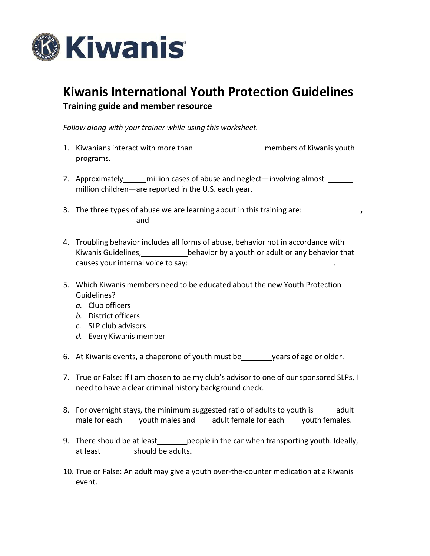

## **Kiwanis International Youth Protection Guidelines**

**Training guide and member resource**

*Follow along with your trainer while using this worksheet.*

- 1. Kiwanians interact with more than members of Kiwanis youth programs.
- 2. Approximately million cases of abuse and neglect—involving almost million children—are reported in the U.S. each year.
- 3. The three types of abuse we are learning about in this training are: **, and and** *and*
- 4. Troubling behavior includes all forms of abuse, behavior not in accordance with Kiwanis Guidelines, behavior by a youth or adult or any behavior that causes your internal voice to say: .
- 5. Which Kiwanis members need to be educated about the new Youth Protection Guidelines?
	- *a.* Club officers
	- *b.* District officers
	- *c.* SLP club advisors
	- *d.* Every Kiwanis member
- 6. At Kiwanis events, a chaperone of youth must be years of age or older.
- 7. True or False: If I am chosen to be my club's advisor to one of our sponsored SLPs, I need to have a clear criminal history background check.
- 8. For overnight stays, the minimum suggested ratio of adults to youth is adult male for each\_\_\_\_\_youth males and\_\_\_\_\_adult female for each\_\_\_\_\_youth females.
- 9. There should be at least people in the car when transporting youth. Ideally, at least should be adults**.**
- 10. True or False: An adult may give a youth over-the-counter medication at a Kiwanis event.